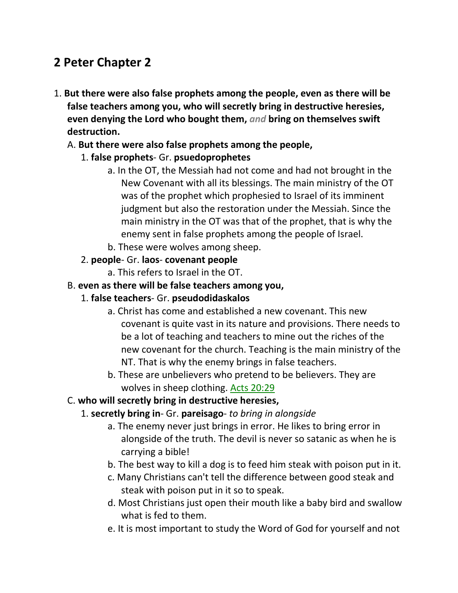# **2 Peter Chapter 2**

- 1. **But there were also false prophets among the people, even as there will be false teachers among you, who will secretly bring in destructive heresies, even denying the Lord who bought them,** *and* **bring on themselves swift destruction.** 
	- A. **But there were also false prophets among the people,**
		- 1. **false prophets** Gr. **psuedoprophetes**
			- a. In the OT, the Messiah had not come and had not brought in the New Covenant with all its blessings. The main ministry of the OT was of the prophet which prophesied to Israel of its imminent judgment but also the restoration under the Messiah. Since the main ministry in the OT was that of the prophet, that is why the enemy sent in false prophets among the people of Israel.
			- b. These were wolves among sheep.
		- 2. **people** Gr. **laos covenant people**
			- a. This refers to Israel in the OT.
	- B. **even as there will be false teachers among you,**
		- 1. **false teachers** Gr. **pseudodidaskalos**
			- a. Christ has come and established a new covenant. This new covenant is quite vast in its nature and provisions. There needs to be a lot of teaching and teachers to mine out the riches of the new covenant for the church. Teaching is the main ministry of the NT. That is why the enemy brings in false teachers.
			- b. These are unbelievers who pretend to be believers. They are wolves in sheep clothing. Acts 20:29

#### C. **who will secretly bring in destructive heresies,**

- 1. **secretly bring in** Gr. **pareisago** *to bring in alongside*
	- a. The enemy never just brings in error. He likes to bring error in alongside of the truth. The devil is never so satanic as when he is carrying a bible!
	- b. The best way to kill a dog is to feed him steak with poison put in it.
	- c. Many Christians can't tell the difference between good steak and steak with poison put in it so to speak.
	- d. Most Christians just open their mouth like a baby bird and swallow what is fed to them.
	- e. It is most important to study the Word of God for yourself and not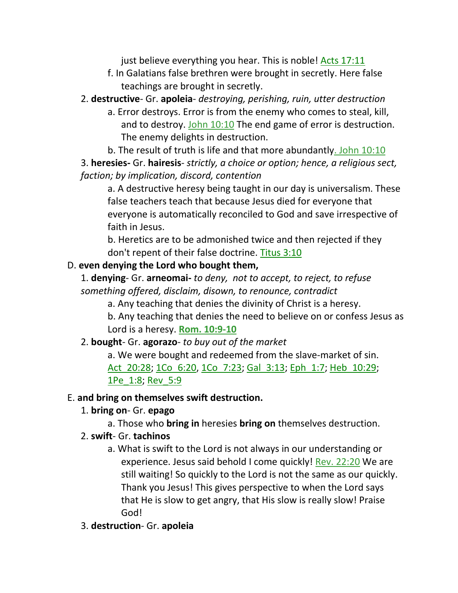just believe everything you hear. This is noble! Acts 17:11

- f. In Galatians false brethren were brought in secretly. Here false teachings are brought in secretly.
- 2. **destructive** Gr. **apoleia** *destroying, perishing, ruin, utter destruction*
	- a. Error destroys. Error is from the enemy who comes to steal, kill, and to destroy. John 10:10 The end game of error is destruction. The enemy delights in destruction.
	- b. The result of truth is life and that more abundantly. John 10:10

3. **heresies-** Gr. **hairesis**- *strictly, a choice or option; hence, a religious sect, faction; by implication, discord, contention*

a. A destructive heresy being taught in our day is universalism. These false teachers teach that because Jesus died for everyone that everyone is automatically reconciled to God and save irrespective of faith in Jesus.

b. Heretics are to be admonished twice and then rejected if they don't repent of their false doctrine. Titus 3:10

#### D. **even denying the Lord who bought them,**

1. **denying**- Gr. **arneomai-** *to deny, not to accept, to reject, to refuse something offered, disclaim, disown, to renounce, contradict*

a. Any teaching that denies the divinity of Christ is a heresy.

b. Any teaching that denies the need to believe on or confess Jesus as Lord is a heresy. **Rom. 10:9-10**

2. **bought**- Gr. **agorazo**- *to buy out of the market*

a. We were bought and redeemed from the slave-market of sin. Act 20:28; 1Co 6:20, 1Co 7:23; Gal 3:13; Eph 1:7; Heb 10:29; 1Pe\_1:8; Rev\_5:9

#### E. **and bring on themselves swift destruction.**

- 1. **bring on** Gr. **epago**
	- a. Those who **bring in** heresies **bring on** themselves destruction.
- 2. **swift** Gr. **tachinos**
	- a. What is swift to the Lord is not always in our understanding or experience. Jesus said behold I come quickly! Rev. 22:20 We are still waiting! So quickly to the Lord is not the same as our quickly. Thank you Jesus! This gives perspective to when the Lord says that He is slow to get angry, that His slow is really slow! Praise God!
- 3. **destruction** Gr. **apoleia**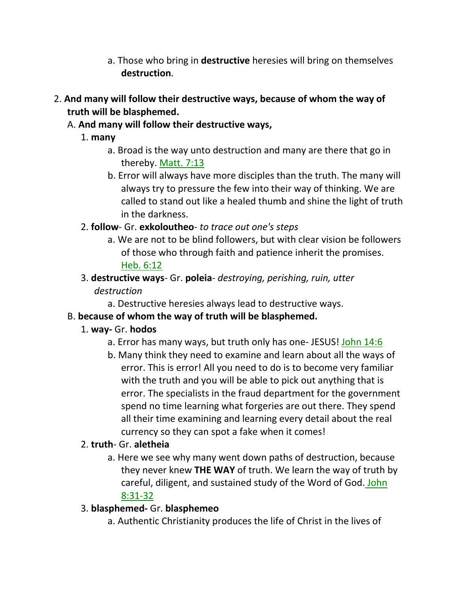- a. Those who bring in **destructive** heresies will bring on themselves **destruction**.
- 2. **And many will follow their destructive ways, because of whom the way of truth will be blasphemed.**
	- A. **And many will follow their destructive ways,**
		- 1. **many**
			- a. Broad is the way unto destruction and many are there that go in thereby. Matt. 7:13
			- b. Error will always have more disciples than the truth. The many will always try to pressure the few into their way of thinking. We are called to stand out like a healed thumb and shine the light of truth in the darkness.
		- 2. **follow** Gr. **exkoloutheo** *to trace out one's steps*
			- a. We are not to be blind followers, but with clear vision be followers of those who through faith and patience inherit the promises. Heb. 6:12
		- 3. **destructive ways** Gr. **poleia** *destroying, perishing, ruin, utter destruction*
			- a. Destructive heresies always lead to destructive ways.

### B. **because of whom the way of truth will be blasphemed.**

- 1. **way-** Gr. **hodos**
	- a. Error has many ways, but truth only has one- JESUS! John 14:6
	- b. Many think they need to examine and learn about all the ways of error. This is error! All you need to do is to become very familiar with the truth and you will be able to pick out anything that is error. The specialists in the fraud department for the government spend no time learning what forgeries are out there. They spend all their time examining and learning every detail about the real currency so they can spot a fake when it comes!

### 2. **truth**- Gr. **aletheia**

a. Here we see why many went down paths of destruction, because they never knew **THE WAY** of truth. We learn the way of truth by careful, diligent, and sustained study of the Word of God. John 8:31-32

### 3. **blasphemed-** Gr. **blasphemeo**

a. Authentic Christianity produces the life of Christ in the lives of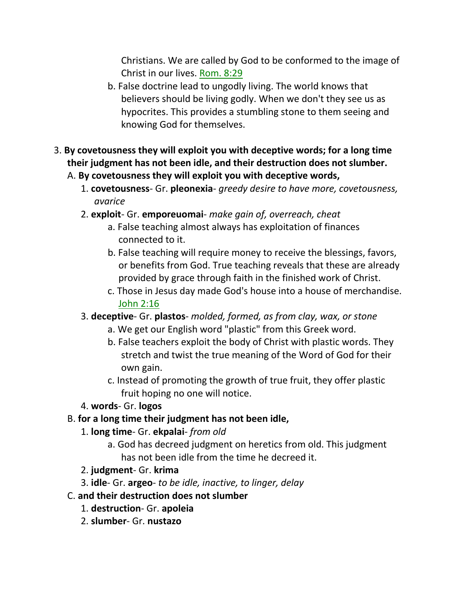Christians. We are called by God to be conformed to the image of Christ in our lives. Rom. 8:29

- b. False doctrine lead to ungodly living. The world knows that believers should be living godly. When we don't they see us as hypocrites. This provides a stumbling stone to them seeing and knowing God for themselves.
- 3. **By covetousness they will exploit you with deceptive words; for a long time their judgment has not been idle, and their destruction does not slumber.**
	- A. **By covetousness they will exploit you with deceptive words,**
		- 1. **covetousness** Gr. **pleonexia** *greedy desire to have more, covetousness, avarice*
		- 2. **exploit** Gr. **emporeuomai** *make gain of, overreach, cheat*
			- a. False teaching almost always has exploitation of finances connected to it.
			- b. False teaching will require money to receive the blessings, favors, or benefits from God. True teaching reveals that these are already provided by grace through faith in the finished work of Christ.
			- c. Those in Jesus day made God's house into a house of merchandise. John 2:16
		- 3. **deceptive** Gr. **plastos** *molded, formed, as from clay, wax, or stone*
			- a. We get our English word "plastic" from this Greek word.
			- b. False teachers exploit the body of Christ with plastic words. They stretch and twist the true meaning of the Word of God for their own gain.
			- c. Instead of promoting the growth of true fruit, they offer plastic fruit hoping no one will notice.
		- 4. **words** Gr. **logos**
	- B. **for a long time their judgment has not been idle,**
		- 1. **long time** Gr. **ekpalai** *from old*
			- a. God has decreed judgment on heretics from old. This judgment has not been idle from the time he decreed it.
		- 2. **judgment** Gr. **krima**
		- 3. **idle** Gr. **argeo** *to be idle, inactive, to linger, delay*
	- C. **and their destruction does not slumber**
		- 1. **destruction** Gr. **apoleia**
		- 2. **slumber** Gr. **nustazo**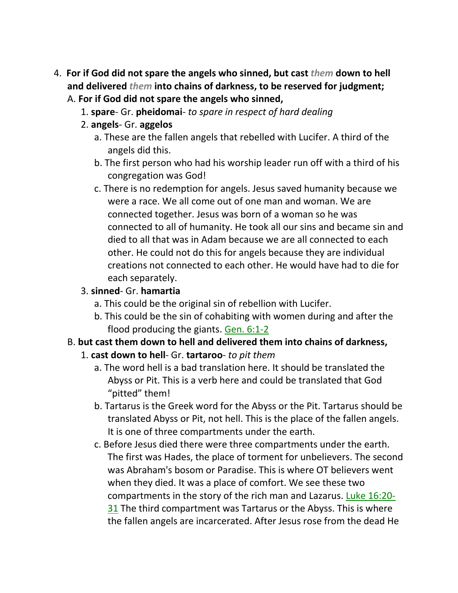- 4. **For if God did not spare the angels who sinned, but cast** *them* **down to hell and delivered** *them* **into chains of darkness, to be reserved for judgment;**
	- A. **For if God did not spare the angels who sinned,**
		- 1. **spare** Gr. **pheidomai** *to spare in respect of hard dealing*
		- 2. **angels** Gr. **aggelos**
			- a. These are the fallen angels that rebelled with Lucifer. A third of the angels did this.
			- b. The first person who had his worship leader run off with a third of his congregation was God!
			- c. There is no redemption for angels. Jesus saved humanity because we were a race. We all come out of one man and woman. We are connected together. Jesus was born of a woman so he was connected to all of humanity. He took all our sins and became sin and died to all that was in Adam because we are all connected to each other. He could not do this for angels because they are individual creations not connected to each other. He would have had to die for each separately.

### 3. **sinned**- Gr. **hamartia**

- a. This could be the original sin of rebellion with Lucifer.
- b. This could be the sin of cohabiting with women during and after the flood producing the giants. Gen. 6:1-2

### B. **but cast them down to hell and delivered them into chains of darkness,**

- 1. **cast down to hell** Gr. **tartaroo** *to pit them*
	- a. The word hell is a bad translation here. It should be translated the Abyss or Pit. This is a verb here and could be translated that God "pitted" them!
	- b. Tartarus is the Greek word for the Abyss or the Pit. Tartarus should be translated Abyss or Pit, not hell. This is the place of the fallen angels. It is one of three compartments under the earth.
	- c. Before Jesus died there were three compartments under the earth. The first was Hades, the place of torment for unbelievers. The second was Abraham's bosom or Paradise. This is where OT believers went when they died. It was a place of comfort. We see these two compartments in the story of the rich man and Lazarus. Luke 16:20- 31 The third compartment was Tartarus or the Abyss. This is where the fallen angels are incarcerated. After Jesus rose from the dead He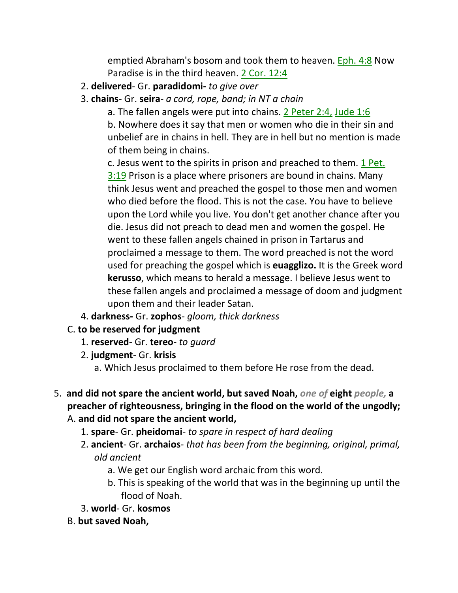emptied Abraham's bosom and took them to heaven. Eph. 4:8 Now Paradise is in the third heaven. 2 Cor. 12:4

- 2. **delivered** Gr. **paradidomi-** *to give over*
- 3. **chains** Gr. **seira** *a cord, rope, band; in NT a chain*
	- a. The fallen angels were put into chains. 2 Peter 2:4, Jude 1:6

b. Nowhere does it say that men or women who die in their sin and unbelief are in chains in hell. They are in hell but no mention is made of them being in chains.

c. Jesus went to the spirits in prison and preached to them. 1 Pet. 3:19 Prison is a place where prisoners are bound in chains. Many think Jesus went and preached the gospel to those men and women who died before the flood. This is not the case. You have to believe upon the Lord while you live. You don't get another chance after you die. Jesus did not preach to dead men and women the gospel. He went to these fallen angels chained in prison in Tartarus and proclaimed a message to them. The word preached is not the word used for preaching the gospel which is **euagglizo.** It is the Greek word **kerusso**, which means to herald a message. I believe Jesus went to these fallen angels and proclaimed a message of doom and judgment upon them and their leader Satan.

- 4. **darkness-** Gr. **zophos** *gloom, thick darkness*
- C. **to be reserved for judgment**
	- 1. **reserved** Gr. **tereo** *to guard*
	- 2. **judgment** Gr. **krisis**
		- a. Which Jesus proclaimed to them before He rose from the dead.
- 5. **and did not spare the ancient world, but saved Noah,** *one of* **eight** *people,* **a preacher of righteousness, bringing in the flood on the world of the ungodly;**  A. **and did not spare the ancient world,**
	- 1. **spare** Gr. **pheidomai** *to spare in respect of hard dealing*
	- 2. **ancient** Gr. **archaios** *that has been from the beginning, original, primal, old ancient*
		- a. We get our English word archaic from this word.
		- b. This is speaking of the world that was in the beginning up until the flood of Noah.
	- 3. **world** Gr. **kosmos**
	- B. **but saved Noah,**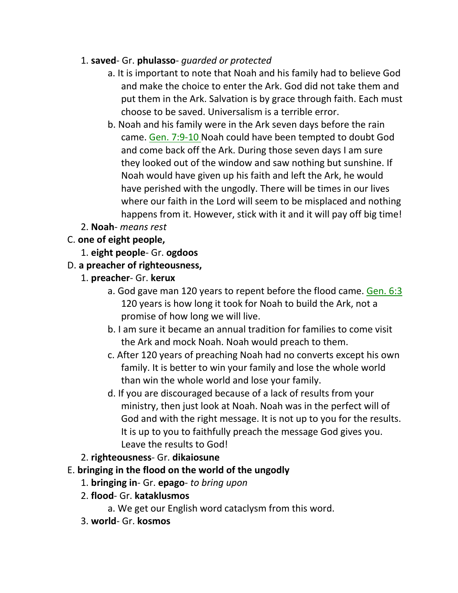### 1. **saved**- Gr. **phulasso**- *guarded or protected*

- a. It is important to note that Noah and his family had to believe God and make the choice to enter the Ark. God did not take them and put them in the Ark. Salvation is by grace through faith. Each must choose to be saved. Universalism is a terrible error.
- b. Noah and his family were in the Ark seven days before the rain came. Gen. 7:9-10 Noah could have been tempted to doubt God and come back off the Ark. During those seven days I am sure they looked out of the window and saw nothing but sunshine. If Noah would have given up his faith and left the Ark, he would have perished with the ungodly. There will be times in our lives where our faith in the Lord will seem to be misplaced and nothing happens from it. However, stick with it and it will pay off big time!
- 2. **Noah** *means rest*
- C. **one of eight people,**
	- 1. **eight people** Gr. **ogdoos**
- D. **a preacher of righteousness,**
	- 1. **preacher** Gr. **kerux**
		- a. God gave man 120 years to repent before the flood came. Gen. 6:3 120 years is how long it took for Noah to build the Ark, not a promise of how long we will live.
		- b. I am sure it became an annual tradition for families to come visit the Ark and mock Noah. Noah would preach to them.
		- c. After 120 years of preaching Noah had no converts except his own family. It is better to win your family and lose the whole world than win the whole world and lose your family.
		- d. If you are discouraged because of a lack of results from your ministry, then just look at Noah. Noah was in the perfect will of God and with the right message. It is not up to you for the results. It is up to you to faithfully preach the message God gives you. Leave the results to God!
	- 2. **righteousness** Gr. **dikaiosune**
- E. **bringing in the flood on the world of the ungodly**
	- 1. **bringing in** Gr. **epago** *to bring upon*
	- 2. **flood** Gr. **kataklusmos**
		- a. We get our English word cataclysm from this word.
	- 3. **world** Gr. **kosmos**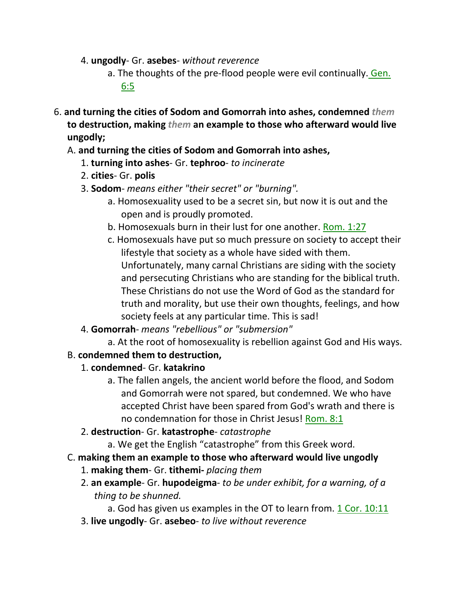- 4. **ungodly** Gr. **asebes** *without reverence*
	- a. The thoughts of the pre-flood people were evil continually. Gen. 6:5
- 6. **and turning the cities of Sodom and Gomorrah into ashes, condemned** *them* **to destruction, making** *them* **an example to those who afterward would live ungodly;**

### A. **and turning the cities of Sodom and Gomorrah into ashes,**

- 1. **turning into ashes** Gr. **tephroo** *to incinerate*
- 2. **cities** Gr. **polis**
- 3. **Sodom** *means either "their secret" or "burning".*
	- a. Homosexuality used to be a secret sin, but now it is out and the open and is proudly promoted.
	- b. Homosexuals burn in their lust for one another. Rom. 1:27
	- c. Homosexuals have put so much pressure on society to accept their lifestyle that society as a whole have sided with them. Unfortunately, many carnal Christians are siding with the society and persecuting Christians who are standing for the biblical truth. These Christians do not use the Word of God as the standard for truth and morality, but use their own thoughts, feelings, and how society feels at any particular time. This is sad!
- 4. **Gomorrah** *means "rebellious" or "submersion"*
	- a. At the root of homosexuality is rebellion against God and His ways.

### B. **condemned them to destruction,**

- 1. **condemned** Gr. **katakrino**
	- a. The fallen angels, the ancient world before the flood, and Sodom and Gomorrah were not spared, but condemned. We who have accepted Christ have been spared from God's wrath and there is no condemnation for those in Christ Jesus! Rom. 8:1
- 2. **destruction** Gr. **katastrophe** *catastrophe*
	- a. We get the English "catastrophe" from this Greek word.
- C. **making them an example to those who afterward would live ungodly**
	- 1. **making them** Gr. **tithemi-** *placing them*
	- 2. **an example** Gr. **hupodeigma** *to be under exhibit, for a warning, of a thing to be shunned.*

a. God has given us examples in the OT to learn from. 1 Cor. 10:11 3. **live ungodly**- Gr. **asebeo**- *to live without reverence*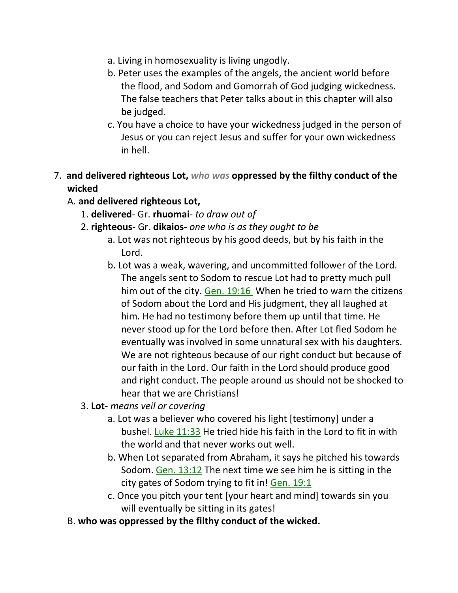- a. Living in homosexuality is living ungodly.
- b. Peter uses the examples of the angels, the ancient world before the flood, and Sodom and Gomorrah of God judging wickedness. The false teachers that Peter talks about in this chapter will also be judged.
- c. You have a choice to have your wickedness judged in the person of Jesus or you can reject Jesus and suffer for your own wickedness in hell.
- 7. **and delivered righteous Lot,** *who was* **oppressed by the filthy conduct of the wicked** 
	- A. **and delivered righteous Lot,**
		- 1. **delivered** Gr. **rhuomai** *to draw out of*
		- 2. **righteous** Gr. **dikaios** *one who is as they ought to be*
			- a. Lot was not righteous by his good deeds, but by his faith in the Lord.
			- b. Lot was a weak, wavering, and uncommitted follower of the Lord. The angels sent to Sodom to rescue Lot had to pretty much pull him out of the city. Gen. 19:16 When he tried to warn the citizens of Sodom about the Lord and His judgment, they all laughed at him. He had no testimony before them up until that time. He never stood up for the Lord before then. After Lot fled Sodom he eventually was involved in some unnatural sex with his daughters. We are not righteous because of our right conduct but because of our faith in the Lord. Our faith in the Lord should produce good and right conduct. The people around us should not be shocked to hear that we are Christians!
		- 3. **Lot-** *means veil or covering*
			- a. Lot was a believer who covered his light [testimony] under a bushel. Luke 11:33 He tried hide his faith in the Lord to fit in with the world and that never works out well.
			- b. When Lot separated from Abraham, it says he pitched his towards Sodom. Gen. 13:12 The next time we see him he is sitting in the city gates of Sodom trying to fit in! Gen. 19:1
			- c. Once you pitch your tent [your heart and mind] towards sin you will eventually be sitting in its gates!
	- B. **who was oppressed by the filthy conduct of the wicked.**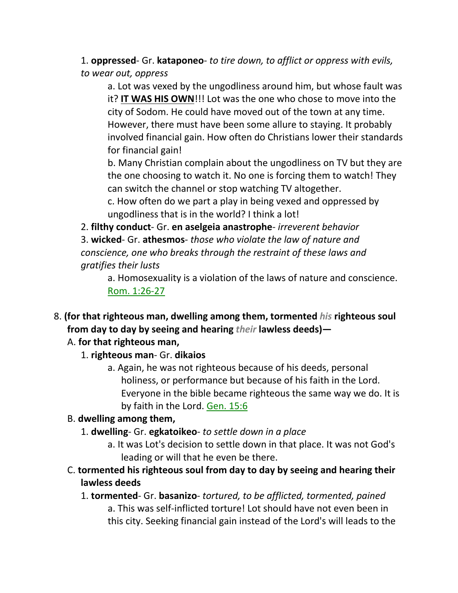1. **oppressed**- Gr. **kataponeo**- *to tire down, to afflict or oppress with evils, to wear out, oppress*

a. Lot was vexed by the ungodliness around him, but whose fault was it? **IT WAS HIS OWN**!!! Lot was the one who chose to move into the city of Sodom. He could have moved out of the town at any time. However, there must have been some allure to staying. It probably involved financial gain. How often do Christians lower their standards for financial gain!

b. Many Christian complain about the ungodliness on TV but they are the one choosing to watch it. No one is forcing them to watch! They can switch the channel or stop watching TV altogether.

c. How often do we part a play in being vexed and oppressed by ungodliness that is in the world? I think a lot!

2. **filthy conduct**- Gr. **en aselgeia anastrophe**- *irreverent behavior* 3. **wicked**- Gr. **athesmos**- *those who violate the law of nature and conscience, one who breaks through the restraint of these laws and gratifies their lusts*

a. Homosexuality is a violation of the laws of nature and conscience. Rom. 1:26-27

8. **(for that righteous man, dwelling among them, tormented** *his* **righteous soul from day to day by seeing and hearing** *their* **lawless deeds)—**

#### A. **for that righteous man,**

- 1. **righteous man** Gr. **dikaios**
	- a. Again, he was not righteous because of his deeds, personal holiness, or performance but because of his faith in the Lord. Everyone in the bible became righteous the same way we do. It is by faith in the Lord. Gen. 15:6

#### B. **dwelling among them,**

- 1. **dwelling** Gr. **egkatoikeo** *to settle down in a place*
	- a. It was Lot's decision to settle down in that place. It was not God's leading or will that he even be there.
- C. **tormented his righteous soul from day to day by seeing and hearing their lawless deeds**
	- 1. **tormented** Gr. **basanizo** *tortured, to be afflicted, tormented, pained* a. This was self-inflicted torture! Lot should have not even been in this city. Seeking financial gain instead of the Lord's will leads to the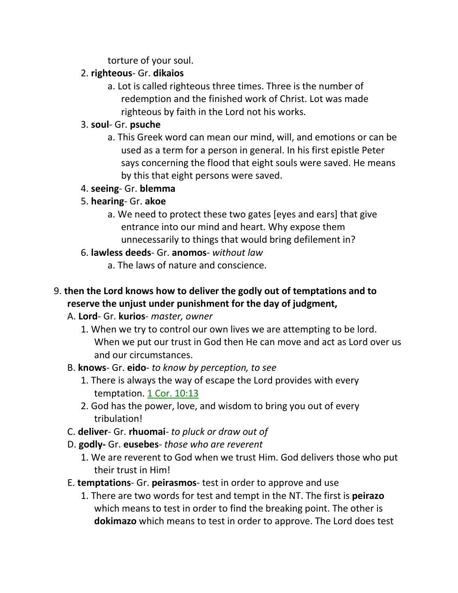torture of your soul.

#### 2. **righteous**- Gr. **dikaios**

a. Lot is called righteous three times. Three is the number of redemption and the finished work of Christ. Lot was made righteous by faith in the Lord not his works.

### 3. **soul**- Gr. **psuche**

a. This Greek word can mean our mind, will, and emotions or can be used as a term for a person in general. In his first epistle Peter says concerning the flood that eight souls were saved. He means by this that eight persons were saved.

#### 4. **seeing**- Gr. **blemma**

### 5. **hearing**- Gr. **akoe**

a. We need to protect these two gates [eyes and ears] that give entrance into our mind and heart. Why expose them unnecessarily to things that would bring defilement in?

### 6. **lawless deeds**- Gr. **anomos**- *without law*

a. The laws of nature and conscience.

### 9. **then the Lord knows how to deliver the godly out of temptations and to reserve the unjust under punishment for the day of judgment,**

### A. **Lord**- Gr. **kurios**- *master, owner*

1. When we try to control our own lives we are attempting to be lord. When we put our trust in God then He can move and act as Lord over us and our circumstances.

### B. **knows**- Gr. **eido**- *to know by perception, to see*

- 1. There is always the way of escape the Lord provides with every temptation. 1 Cor. 10:13
- 2. God has the power, love, and wisdom to bring you out of every tribulation!

### C. **deliver**- Gr. **rhuomai**- *to pluck or draw out of*

- D. **godly-** Gr. **eusebes** *those who are reverent*
	- 1. We are reverent to God when we trust Him. God delivers those who put their trust in Him!
- E. **temptations** Gr. **peirasmos** test in order to approve and use
	- 1. There are two words for test and tempt in the NT. The first is **peirazo** which means to test in order to find the breaking point. The other is **dokimazo** which means to test in order to approve. The Lord does test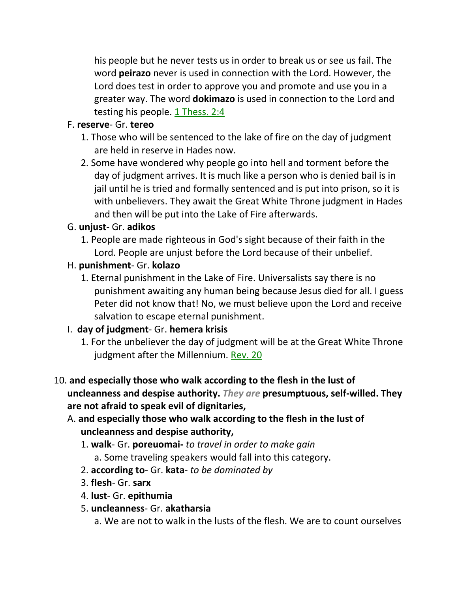his people but he never tests us in order to break us or see us fail. The word **peirazo** never is used in connection with the Lord. However, the Lord does test in order to approve you and promote and use you in a greater way. The word **dokimazo** is used in connection to the Lord and testing his people. 1 Thess. 2:4

#### F. **reserve**- Gr. **tereo**

- 1. Those who will be sentenced to the lake of fire on the day of judgment are held in reserve in Hades now.
- 2. Some have wondered why people go into hell and torment before the day of judgment arrives. It is much like a person who is denied bail is in jail until he is tried and formally sentenced and is put into prison, so it is with unbelievers. They await the Great White Throne judgment in Hades and then will be put into the Lake of Fire afterwards.

#### G. **unjust**- Gr. **adikos**

1. People are made righteous in God's sight because of their faith in the Lord. People are unjust before the Lord because of their unbelief.

#### H. **punishment**- Gr. **kolazo**

1. Eternal punishment in the Lake of Fire. Universalists say there is no punishment awaiting any human being because Jesus died for all. I guess Peter did not know that! No, we must believe upon the Lord and receive salvation to escape eternal punishment.

### I. **day of judgment**- Gr. **hemera krisis**

1. For the unbeliever the day of judgment will be at the Great White Throne judgment after the Millennium. Rev. 20

## 10. **and especially those who walk according to the flesh in the lust of**

**uncleanness and despise authority.** *They are* **presumptuous, self-willed. They are not afraid to speak evil of dignitaries,** 

- A. **and especially those who walk according to the flesh in the lust of uncleanness and despise authority,**
	- 1. **walk** Gr. **poreuomai-** *to travel in order to make gain* a. Some traveling speakers would fall into this category.
	- 2. **according to** Gr. **kata** *to be dominated by*
	- 3. **flesh** Gr. **sarx**
	- 4. **lust** Gr. **epithumia**
	- 5. **uncleanness** Gr. **akatharsia**
		- a. We are not to walk in the lusts of the flesh. We are to count ourselves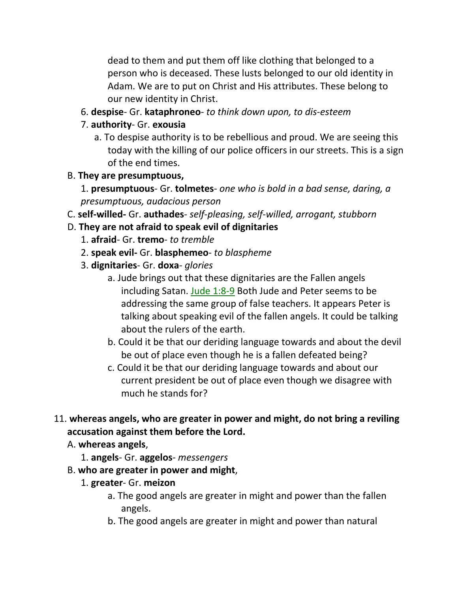dead to them and put them off like clothing that belonged to a person who is deceased. These lusts belonged to our old identity in Adam. We are to put on Christ and His attributes. These belong to our new identity in Christ.

- 6. **despise** Gr. **kataphroneo** *to think down upon, to dis-esteem*
- 7. **authority** Gr. **exousia**
	- a. To despise authority is to be rebellious and proud. We are seeing this today with the killing of our police officers in our streets. This is a sign of the end times.

### B. **They are presumptuous,**

1. **presumptuous**- Gr. **tolmetes**- *one who is bold in a bad sense, daring, a presumptuous, audacious person*

C. **self-willed-** Gr. **authades**- *self-pleasing, self-willed, arrogant, stubborn*

### D. **They are not afraid to speak evil of dignitaries**

- 1. **afraid** Gr. **tremo** *to tremble*
- 2. **speak evil-** Gr. **blasphemeo** *to blaspheme*
- 3. **dignitaries** Gr. **doxa** *glories*
	- a. Jude brings out that these dignitaries are the Fallen angels including Satan. Jude 1:8-9 Both Jude and Peter seems to be addressing the same group of false teachers. It appears Peter is talking about speaking evil of the fallen angels. It could be talking about the rulers of the earth.
	- b. Could it be that our deriding language towards and about the devil be out of place even though he is a fallen defeated being?
	- c. Could it be that our deriding language towards and about our current president be out of place even though we disagree with much he stands for?
- 11. **whereas angels, who are greater in power and might, do not bring a reviling accusation against them before the Lord.** 
	- A. **whereas angels**,
		- 1. **angels** Gr. **aggelos** *messengers*
	- B. **who are greater in power and might**,
		- 1. **greater** Gr. **meizon**
			- a. The good angels are greater in might and power than the fallen angels.
			- b. The good angels are greater in might and power than natural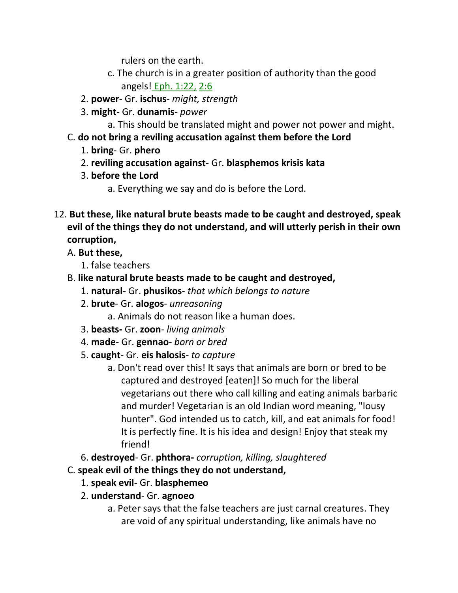rulers on the earth.

- c. The church is in a greater position of authority than the good angels! Eph. 1:22, 2:6
- 2. **power** Gr. **ischus** *might, strength*
- 3. **might** Gr. **dunamis** *power*
	- a. This should be translated might and power not power and might.
- C. **do not bring a reviling accusation against them before the Lord**
	- 1. **bring** Gr. **phero**
	- 2. **reviling accusation against** Gr. **blasphemos krisis kata**
	- 3. **before the Lord**
		- a. Everything we say and do is before the Lord.
- 12. **But these, like natural brute beasts made to be caught and destroyed, speak evil of the things they do not understand, and will utterly perish in their own corruption,** 
	- A. **But these,**
		- 1. false teachers
	- B. **like natural brute beasts made to be caught and destroyed,**
		- 1. **natural** Gr. **phusikos** *that which belongs to nature*
		- 2. **brute** Gr. **alogos** *unreasoning*
			- a. Animals do not reason like a human does.
		- 3. **beasts-** Gr. **zoon** *living animals*
		- 4. **made** Gr. **gennao** *born or bred*
		- 5. **caught** Gr. **eis halosis** *to capture*
			- a. Don't read over this! It says that animals are born or bred to be captured and destroyed [eaten]! So much for the liberal vegetarians out there who call killing and eating animals barbaric and murder! Vegetarian is an old Indian word meaning, "lousy hunter". God intended us to catch, kill, and eat animals for food! It is perfectly fine. It is his idea and design! Enjoy that steak my friend!
		- 6. **destroyed** Gr. **phthora-** *corruption, killing, slaughtered*
	- C. **speak evil of the things they do not understand,**
		- 1. **speak evil-** Gr. **blasphemeo**
		- 2. **understand** Gr. **agnoeo**
			- a. Peter says that the false teachers are just carnal creatures. They are void of any spiritual understanding, like animals have no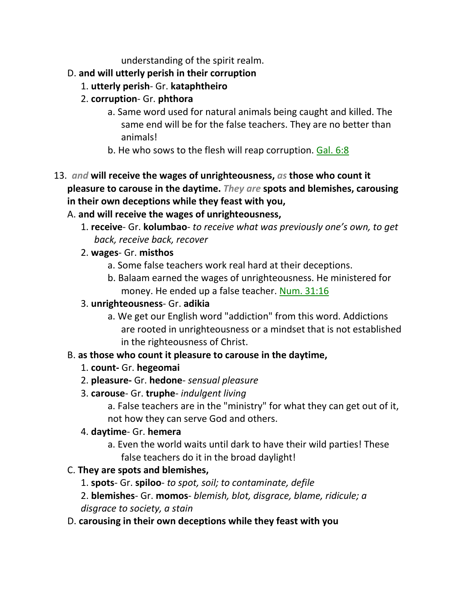understanding of the spirit realm.

- D. **and will utterly perish in their corruption**
	- 1. **utterly perish** Gr. **kataphtheiro**
	- 2. **corruption** Gr. **phthora**
		- a. Same word used for natural animals being caught and killed. The same end will be for the false teachers. They are no better than animals!
		- b. He who sows to the flesh will reap corruption. Gal. 6:8
- 13. *and* **will receive the wages of unrighteousness,** *as* **those who count it pleasure to carouse in the daytime.** *They are* **spots and blemishes, carousing in their own deceptions while they feast with you,** 
	- A. **and will receive the wages of unrighteousness,**
		- 1. **receive** Gr. **kolumbao** *to receive what was previously one's own, to get back, receive back, recover*
		- 2. **wages** Gr. **misthos**
			- a. Some false teachers work real hard at their deceptions.
			- b. Balaam earned the wages of unrighteousness. He ministered for money. He ended up a false teacher. Num. 31:16
		- 3. **unrighteousness** Gr. **adikia**
			- a. We get our English word "addiction" from this word. Addictions are rooted in unrighteousness or a mindset that is not established in the righteousness of Christ.

#### B. **as those who count it pleasure to carouse in the daytime,**

- 1. **count-** Gr. **hegeomai**
- 2. **pleasure-** Gr. **hedone** *sensual pleasure*
- 3. **carouse** Gr. **truphe** *indulgent living*

a. False teachers are in the "ministry" for what they can get out of it, not how they can serve God and others.

#### 4. **daytime**- Gr. **hemera**

a. Even the world waits until dark to have their wild parties! These false teachers do it in the broad daylight!

#### C. **They are spots and blemishes,**

1. **spots**- Gr. **spiloo**- *to spot, soil; to contaminate, defile*

2. **blemishes**- Gr. **momos**- *blemish, blot, disgrace, blame, ridicule; a disgrace to society, a stain*

D. **carousing in their own deceptions while they feast with you**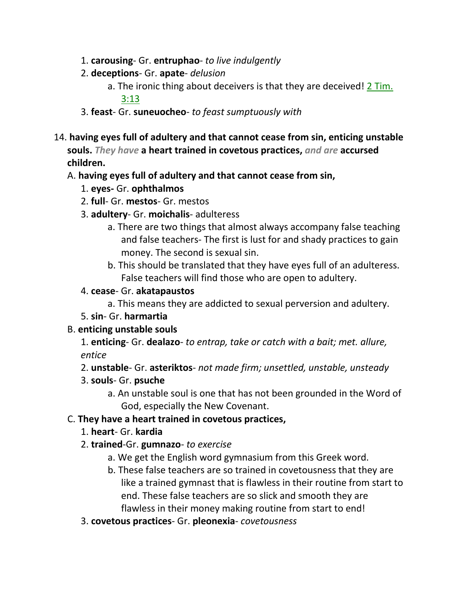- 1. **carousing** Gr. **entruphao** *to live indulgently*
- 2. **deceptions** Gr. **apate** *delusion*
	- a. The ironic thing about deceivers is that they are deceived! 2 Tim. 3:13
- 3. **feast** Gr. **suneuocheo** *to feast sumptuously with*
- 14. **having eyes full of adultery and that cannot cease from sin, enticing unstable souls.** *They have* **a heart trained in covetous practices,** *and are* **accursed children.**

#### A. **having eyes full of adultery and that cannot cease from sin,**

- 1. **eyes-** Gr. **ophthalmos**
- 2. **full** Gr. **mestos** Gr. mestos
- 3. **adultery** Gr. **moichalis** adulteress
	- a. There are two things that almost always accompany false teaching and false teachers- The first is lust for and shady practices to gain money. The second is sexual sin.
	- b. This should be translated that they have eyes full of an adulteress. False teachers will find those who are open to adultery.

#### 4. **cease**- Gr. **akatapaustos**

a. This means they are addicted to sexual perversion and adultery.

5. **sin**- Gr. **harmartia**

#### B. **enticing unstable souls**

1. **enticing**- Gr. **dealazo**- *to entrap, take or catch with a bait; met. allure, entice*

#### 2. **unstable**- Gr. **asteriktos**- *not made firm; unsettled, unstable, unsteady*

- 3. **souls** Gr. **psuche**
	- a. An unstable soul is one that has not been grounded in the Word of God, especially the New Covenant.

#### C. **They have a heart trained in covetous practices,**

#### 1. **heart**- Gr. **kardia**

#### 2. **trained**-Gr. **gumnazo**- *to exercise*

- a. We get the English word gymnasium from this Greek word.
- b. These false teachers are so trained in covetousness that they are like a trained gymnast that is flawless in their routine from start to end. These false teachers are so slick and smooth they are flawless in their money making routine from start to end!
- 3. **covetous practices** Gr. **pleonexia** *covetousness*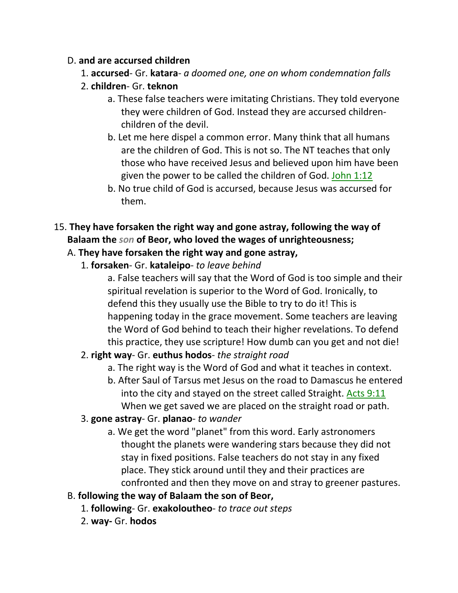#### D. **and are accursed children**

- 1. **accursed** Gr. **katara** *a doomed one, one on whom condemnation falls*
- 2. **children** Gr. **teknon**
	- a. These false teachers were imitating Christians. They told everyone they were children of God. Instead they are accursed childrenchildren of the devil.
	- b. Let me here dispel a common error. Many think that all humans are the children of God. This is not so. The NT teaches that only those who have received Jesus and believed upon him have been given the power to be called the children of God. John 1:12
	- b. No true child of God is accursed, because Jesus was accursed for them.
- 15. **They have forsaken the right way and gone astray, following the way of Balaam the** *son* **of Beor, who loved the wages of unrighteousness;**

### A. **They have forsaken the right way and gone astray,**

1. **forsaken**- Gr. **kataleipo**- *to leave behind*

a. False teachers will say that the Word of God is too simple and their spiritual revelation is superior to the Word of God. Ironically, to defend this they usually use the Bible to try to do it! This is happening today in the grace movement. Some teachers are leaving the Word of God behind to teach their higher revelations. To defend this practice, they use scripture! How dumb can you get and not die!

### 2. **right way**- Gr. **euthus hodos**- *the straight road*

- a. The right way is the Word of God and what it teaches in context.
- b. After Saul of Tarsus met Jesus on the road to Damascus he entered into the city and stayed on the street called Straight. Acts 9:11 When we get saved we are placed on the straight road or path.

### 3. **gone astray**- Gr. **planao**- *to wander*

a. We get the word "planet" from this word. Early astronomers thought the planets were wandering stars because they did not stay in fixed positions. False teachers do not stay in any fixed place. They stick around until they and their practices are confronted and then they move on and stray to greener pastures.

### B. **following the way of Balaam the son of Beor,**

- 1. **following** Gr. **exakoloutheo** *to trace out steps*
- 2. **way-** Gr. **hodos**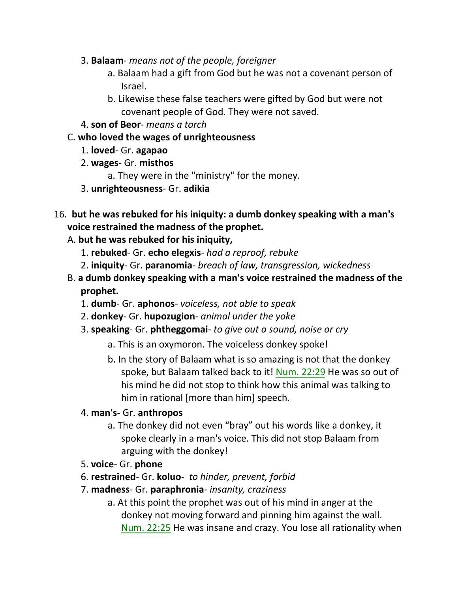- 3. **Balaam** *means not of the people, foreigner*
	- a. Balaam had a gift from God but he was not a covenant person of Israel.
	- b. Likewise these false teachers were gifted by God but were not covenant people of God. They were not saved.
- 4. **son of Beor** *means a torch*
- C. **who loved the wages of unrighteousness**
	- 1. **loved** Gr. **agapao**
	- 2. **wages** Gr. **misthos**
		- a. They were in the "ministry" for the money.
	- 3. **unrighteousness** Gr. **adikia**
- 16. **but he was rebuked for his iniquity: a dumb donkey speaking with a man's voice restrained the madness of the prophet.**
	- A. **but he was rebuked for his iniquity,**
		- 1. **rebuked** Gr. **echo elegxis** *had a reproof, rebuke*
		- 2. **iniquity** Gr. **paranomia** *breach of law, transgression, wickedness*
	- B. **a dumb donkey speaking with a man's voice restrained the madness of the prophet.**
		- 1. **dumb** Gr. **aphonos** *voiceless, not able to speak*
		- 2. **donkey** Gr. **hupozugion** *animal under the yoke*
		- 3. **speaking** Gr. **phtheggomai** *to give out a sound, noise or cry*
			- a. This is an oxymoron. The voiceless donkey spoke!
			- b. In the story of Balaam what is so amazing is not that the donkey spoke, but Balaam talked back to it! Num. 22:29 He was so out of his mind he did not stop to think how this animal was talking to him in rational [more than him] speech.
		- 4. **man's-** Gr. **anthropos**
			- a. The donkey did not even "bray" out his words like a donkey, it spoke clearly in a man's voice. This did not stop Balaam from arguing with the donkey!
		- 5. **voice** Gr. **phone**
		- 6. **restrained** Gr. **koluo**- *to hinder, prevent, forbid*
		- 7. **madness** Gr. **paraphronia** *insanity, craziness*
			- a. At this point the prophet was out of his mind in anger at the donkey not moving forward and pinning him against the wall. Num. 22:25 He was insane and crazy. You lose all rationality when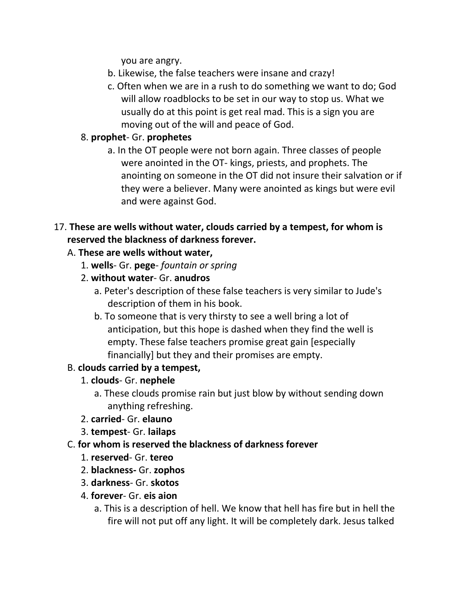you are angry.

- b. Likewise, the false teachers were insane and crazy!
- c. Often when we are in a rush to do something we want to do; God will allow roadblocks to be set in our way to stop us. What we usually do at this point is get real mad. This is a sign you are moving out of the will and peace of God.

### 8. **prophet**- Gr. **prophetes**

a. In the OT people were not born again. Three classes of people were anointed in the OT- kings, priests, and prophets. The anointing on someone in the OT did not insure their salvation or if they were a believer. Many were anointed as kings but were evil and were against God.

### 17. **These are wells without water, clouds carried by a tempest, for whom is reserved the blackness of darkness forever.**

### A. **These are wells without water,**

- 1. **wells** Gr. **pege** *fountain or spring*
- 2. **without water** Gr. **anudros**
	- a. Peter's description of these false teachers is very similar to Jude's description of them in his book.
	- b. To someone that is very thirsty to see a well bring a lot of anticipation, but this hope is dashed when they find the well is empty. These false teachers promise great gain [especially financially] but they and their promises are empty.

#### B. **clouds carried by a tempest,**

### 1. **clouds**- Gr. **nephele**

- a. These clouds promise rain but just blow by without sending down anything refreshing.
- 2. **carried** Gr. **elauno**
- 3. **tempest** Gr. **lailaps**

### C. **for whom is reserved the blackness of darkness forever**

- 1. **reserved** Gr. **tereo**
- 2. **blackness-** Gr. **zophos**
- 3. **darkness** Gr. **skotos**
- 4. **forever** Gr. **eis aion**
	- a. This is a description of hell. We know that hell has fire but in hell the fire will not put off any light. It will be completely dark. Jesus talked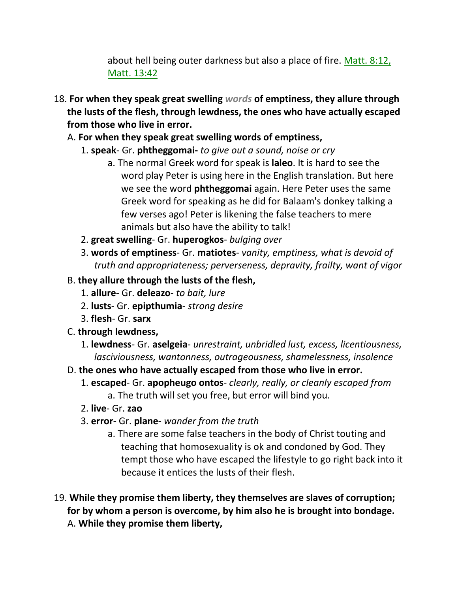about hell being outer darkness but also a place of fire. Matt. 8:12, Matt. 13:42

- 18. **For when they speak great swelling** *words* **of emptiness, they allure through the lusts of the flesh, through lewdness, the ones who have actually escaped from those who live in error.** 
	- A. **For when they speak great swelling words of emptiness,**
		- 1. **speak** Gr. **phtheggomai-** *to give out a sound, noise or cry*
			- a. The normal Greek word for speak is **laleo**. It is hard to see the word play Peter is using here in the English translation. But here we see the word **phtheggomai** again. Here Peter uses the same Greek word for speaking as he did for Balaam's donkey talking a few verses ago! Peter is likening the false teachers to mere animals but also have the ability to talk!
		- 2. **great swelling** Gr. **huperogkos** *bulging over*
		- 3. **words of emptiness** Gr. **matiotes** *vanity, emptiness, what is devoid of truth and appropriateness; perverseness, depravity, frailty, want of vigor*
	- B. **they allure through the lusts of the flesh,**
		- 1. **allure** Gr. **deleazo** *to bait, lure*
		- 2. **lusts** Gr. **epipthumia** *strong desire*
		- 3. **flesh** Gr. **sarx**
	- C. **through lewdness,**
		- 1. **lewdness** Gr. **aselgeia** *unrestraint, unbridled lust, excess, licentiousness, lasciviousness, wantonness, outrageousness, shamelessness, insolence*
	- D. **the ones who have actually escaped from those who live in error.** 
		- 1. **escaped** Gr. **apopheugo ontos** *clearly, really, or cleanly escaped from* a. The truth will set you free, but error will bind you.
		- 2. **live** Gr. **zao**
		- 3. **error-** Gr. **plane-** *wander from the truth*
			- a. There are some false teachers in the body of Christ touting and teaching that homosexuality is ok and condoned by God. They tempt those who have escaped the lifestyle to go right back into it because it entices the lusts of their flesh.
- 19. **While they promise them liberty, they themselves are slaves of corruption; for by whom a person is overcome, by him also he is brought into bondage.**  A. **While they promise them liberty,**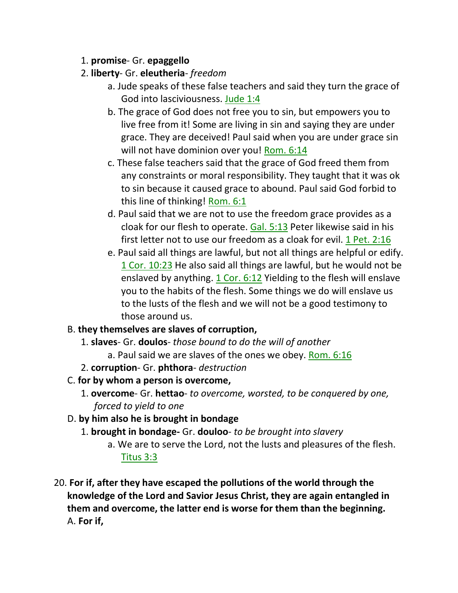#### 1. **promise**- Gr. **epaggello**

### 2. **liberty**- Gr. **eleutheria**- *freedom*

- a. Jude speaks of these false teachers and said they turn the grace of God into lasciviousness. Jude 1:4
- b. The grace of God does not free you to sin, but empowers you to live free from it! Some are living in sin and saying they are under grace. They are deceived! Paul said when you are under grace sin will not have dominion over you! Rom. 6:14
- c. These false teachers said that the grace of God freed them from any constraints or moral responsibility. They taught that it was ok to sin because it caused grace to abound. Paul said God forbid to this line of thinking! Rom. 6:1
- d. Paul said that we are not to use the freedom grace provides as a cloak for our flesh to operate. Gal. 5:13 Peter likewise said in his first letter not to use our freedom as a cloak for evil. 1 Pet. 2:16
- e. Paul said all things are lawful, but not all things are helpful or edify. 1 Cor. 10:23 He also said all things are lawful, but he would not be enslaved by anything. 1 Cor. 6:12 Yielding to the flesh will enslave you to the habits of the flesh. Some things we do will enslave us to the lusts of the flesh and we will not be a good testimony to those around us.

### B. **they themselves are slaves of corruption,**

- 1. **slaves** Gr. **doulos** *those bound to do the will of another*
	- a. Paul said we are slaves of the ones we obey. Rom. 6:16
- 2. **corruption** Gr. **phthora** *destruction*
- C. **for by whom a person is overcome,**
	- 1. **overcome** Gr. **hettao** *to overcome, worsted, to be conquered by one, forced to yield to one*
- D. **by him also he is brought in bondage**
	- 1. **brought in bondage-** Gr. **douloo** *to be brought into slavery*
		- a. We are to serve the Lord, not the lusts and pleasures of the flesh. Titus 3:3
- 20. **For if, after they have escaped the pollutions of the world through the knowledge of the Lord and Savior Jesus Christ, they are again entangled in them and overcome, the latter end is worse for them than the beginning.**  A. **For if,**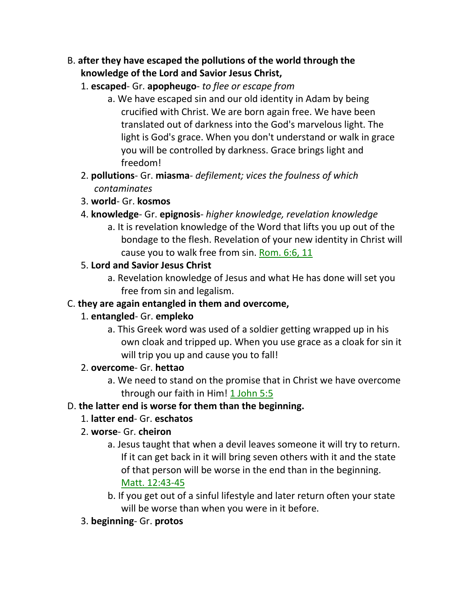- B. **after they have escaped the pollutions of the world through the knowledge of the Lord and Savior Jesus Christ,**
	- 1. **escaped** Gr. **apopheugo** *to flee or escape from*
		- a. We have escaped sin and our old identity in Adam by being crucified with Christ. We are born again free. We have been translated out of darkness into the God's marvelous light. The light is God's grace. When you don't understand or walk in grace you will be controlled by darkness. Grace brings light and freedom!
	- 2. **pollutions** Gr. **miasma** *defilement; vices the foulness of which contaminates*
	- 3. **world** Gr. **kosmos**
	- 4. **knowledge** Gr. **epignosis** *higher knowledge, revelation knowledge*
		- a. It is revelation knowledge of the Word that lifts you up out of the bondage to the flesh. Revelation of your new identity in Christ will cause you to walk free from sin. Rom. 6:6, 11

#### 5. **Lord and Savior Jesus Christ**

a. Revelation knowledge of Jesus and what He has done will set you free from sin and legalism.

#### C. **they are again entangled in them and overcome,**

#### 1. **entangled**- Gr. **empleko**

a. This Greek word was used of a soldier getting wrapped up in his own cloak and tripped up. When you use grace as a cloak for sin it will trip you up and cause you to fall!

#### 2. **overcome**- Gr. **hettao**

a. We need to stand on the promise that in Christ we have overcome through our faith in Him! 1 John 5:5

#### D. **the latter end is worse for them than the beginning.**

#### 1. **latter end**- Gr. **eschatos**

#### 2. **worse**- Gr. **cheiron**

- a. Jesus taught that when a devil leaves someone it will try to return. If it can get back in it will bring seven others with it and the state of that person will be worse in the end than in the beginning. Matt. 12:43-45
- b. If you get out of a sinful lifestyle and later return often your state will be worse than when you were in it before.
- 3. **beginning** Gr. **protos**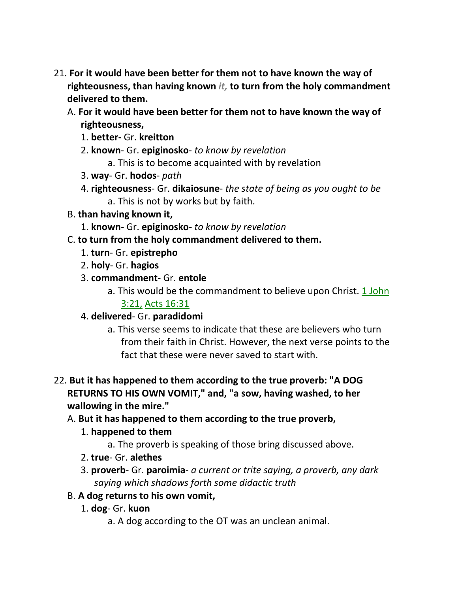- 21. **For it would have been better for them not to have known the way of righteousness, than having known** *it,* **to turn from the holy commandment delivered to them.**
	- A. **For it would have been better for them not to have known the way of righteousness,**
		- 1. **better-** Gr. **kreitton**
		- 2. **known** Gr. **epiginosko** *to know by revelation*
			- a. This is to become acquainted with by revelation
		- 3. **way** Gr. **hodos** *path*
		- 4. **righteousness** Gr. **dikaiosune** *the state of being as you ought to be* a. This is not by works but by faith.
	- B. **than having known it,**
		- 1. **known** Gr. **epiginosko** *to know by revelation*
	- C. **to turn from the holy commandment delivered to them.**
		- 1. **turn** Gr. **epistrepho**
		- 2. **holy** Gr. **hagios**
		- 3. **commandment** Gr. **entole**
			- a. This would be the commandment to believe upon Christ. 1 John 3:21, Acts 16:31
		- 4. **delivered** Gr. **paradidomi**
			- a. This verse seems to indicate that these are believers who turn from their faith in Christ. However, the next verse points to the fact that these were never saved to start with.
- 22. **But it has happened to them according to the true proverb: "A DOG RETURNS TO HIS OWN VOMIT," and, "a sow, having washed, to her wallowing in the mire."**
	- A. **But it has happened to them according to the true proverb,**
		- 1. **happened to them**
			- a. The proverb is speaking of those bring discussed above.
		- 2. **true** Gr. **alethes**
		- 3. **proverb** Gr. **paroimia** *a current or trite saying, a proverb, any dark saying which shadows forth some didactic truth*
	- B. **A dog returns to his own vomit,**
		- 1. **dog** Gr. **kuon**
			- a. A dog according to the OT was an unclean animal.